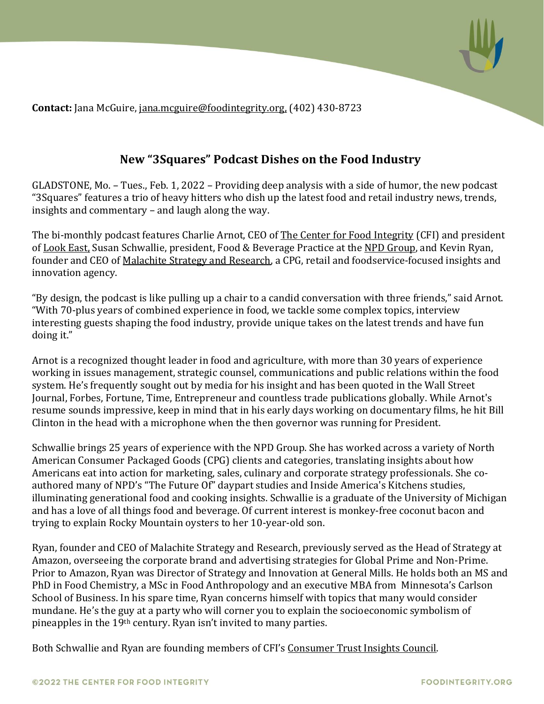

**Contact:** Jana McGuire, [jana.mcguire@foodintegrity.org,](mailto:jana.mcguire@foodintegrity.org,) (402) 430-8723

## **New "3Squares" Podcast Dishes on the Food Industry**

GLADSTONE, Mo. – Tues., Feb. 1, 2022 – Providing deep analysis with a side of humor, the new podcast "3Squares" features a trio of heavy hitters who dish up the latest food and retail industry news, trends, insights and commentary – and laugh along the way.

The bi-monthly podcast features Charlie Arnot, CEO of [The Center for Food Integrity](http://www.foodintegrity.org/) (CFI) and president o[f Look East,](http://www.lookeast.com/) Susan Schwallie, president, Food & Beverage Practice at the [NPD Group,](https://www.npd.com/) and Kevin Ryan, founder and CEO of [Malachite Strategy and Research,](https://www.malachite-strategy.com/) a CPG, retail and foodservice-focused insights and innovation agency.

"By design, the podcast is like pulling up a chair to a candid conversation with three friends," said Arnot. "With 70-plus years of combined experience in food, we tackle some complex topics, interview interesting guests shaping the food industry, provide unique takes on the latest trends and have fun doing it."

Arnot is a recognized thought leader in food and agriculture, with more than 30 years of experience working in issues management, strategic counsel, communications and public relations within the food system. He's frequently sought out by media for his insight and has been quoted in the Wall Street Journal, Forbes, Fortune, Time, Entrepreneur and countless trade publications globally. While Arnot's resume sounds impressive, keep in mind that in his early days working on documentary films, he hit Bill Clinton in the head with a microphone when the then governor was running for President.

Schwallie brings 25 years of experience with the NPD Group. She has worked across a variety of North American Consumer Packaged Goods (CPG) clients and categories, translating insights about how Americans eat into action for marketing, sales, culinary and corporate strategy professionals. She coauthored many of NPD's "The Future Of" daypart studies and Inside America's Kitchens studies, illuminating generational food and cooking insights. Schwallie is a graduate of the University of Michigan and has a love of all things food and beverage. Of current interest is monkey-free coconut bacon and trying to explain Rocky Mountain oysters to her 10-year-old son.

Ryan, founder and CEO of Malachite Strategy and Research, previously served as the Head of Strategy at Amazon, overseeing the corporate brand and advertising strategies for Global Prime and Non-Prime. Prior to Amazon, Ryan was Director of Strategy and Innovation at General Mills. He holds both an MS and PhD in Food Chemistry, a MSc in Food Anthropology and an executive MBA from Minnesota's Carlson School of Business. In his spare time, Ryan concerns himself with topics that many would consider mundane. He's the guy at a party who will corner you to explain the socioeconomic symbolism of pineapples in the 19th century. Ryan isn't invited to many parties.

Both Schwallie and Ryan are founding members of CFI's [Consumer Trust Insights Council.](https://foodintegrity.org/trust-practices/consumer-insights-trust-council/)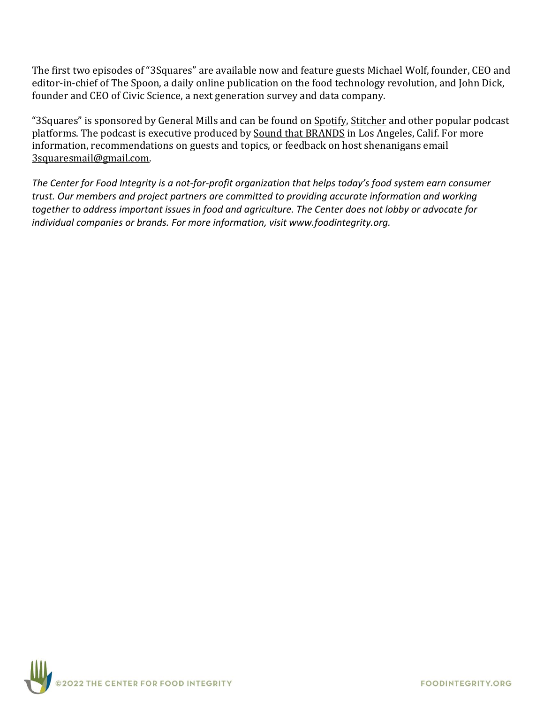The first two episodes of "3Squares" are available now and feature guests Michael Wolf, founder, CEO and editor-in-chief of The Spoon, a daily online publication on the food technology revolution, and John Dick, founder and CEO of Civic Science, a next generation survey and data company.

"3Squares" is sponsored by General Mills and can be found on [Spotify,](https://open.spotify.com/show/6Q5tufhMgtg4XiuDB983n8?si=bRLztOckRhOCL95JtZt7zQ&nd=1) [Stitcher](https://www.stitcher.com/show/3-squares-dishing-on-the-food-industry) and other popular podcast platforms. The podcast is executive produced by [Sound that BRANDS](https://www.soundthatbrands.com/) in Los Angeles, Calif. For more information, recommendations on guests and topics, or feedback on host shenanigans email [3squaresmail@gmail.com.](mailto:3squaresmail@gmail.com)

*The Center for Food Integrity is a not-for-profit organization that helps today's food system earn consumer trust. Our members and project partners are committed to providing accurate information and working together to address important issues in food and agriculture. The Center does not lobby or advocate for individual companies or brands. For more information, visit www.foodintegrity.org.*